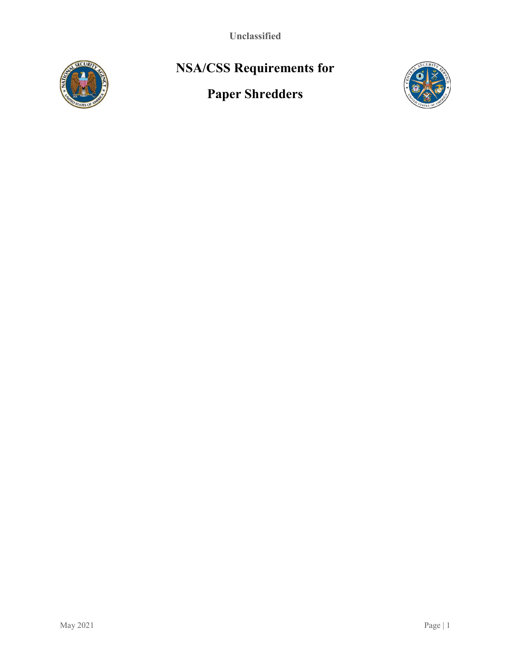Unclassified



# NSA/CSS Requirements for

# Paper Shredders

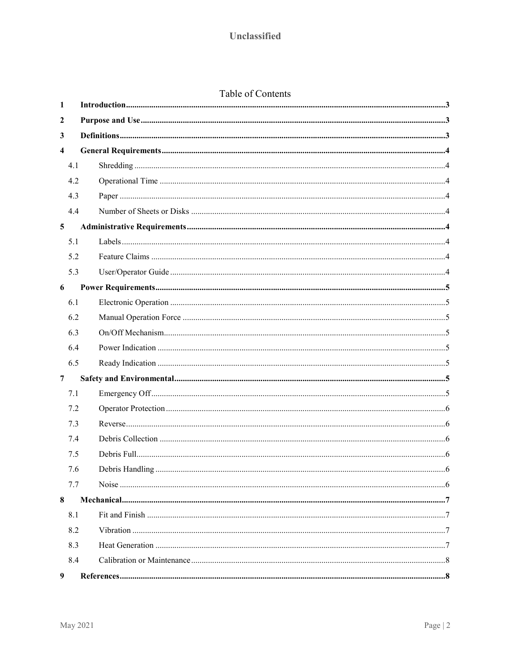| Table of Contents |  |
|-------------------|--|

| 1                       |  |  |  |  |  |  |
|-------------------------|--|--|--|--|--|--|
| 2                       |  |  |  |  |  |  |
| 3                       |  |  |  |  |  |  |
| $\overline{\mathbf{4}}$ |  |  |  |  |  |  |
| 4.1                     |  |  |  |  |  |  |
| 4.2                     |  |  |  |  |  |  |
| 4.3                     |  |  |  |  |  |  |
| 4.4                     |  |  |  |  |  |  |
| $\overline{5}$          |  |  |  |  |  |  |
| 5.1                     |  |  |  |  |  |  |
| 5.2                     |  |  |  |  |  |  |
| 5.3                     |  |  |  |  |  |  |
| 6                       |  |  |  |  |  |  |
| 6.1                     |  |  |  |  |  |  |
| 6.2                     |  |  |  |  |  |  |
| 6.3                     |  |  |  |  |  |  |
| 6.4                     |  |  |  |  |  |  |
| 6.5                     |  |  |  |  |  |  |
| $\overline{7}$          |  |  |  |  |  |  |
| 7.1                     |  |  |  |  |  |  |
| 7.2                     |  |  |  |  |  |  |
| 7.3                     |  |  |  |  |  |  |
| 7.4                     |  |  |  |  |  |  |
| 7.5                     |  |  |  |  |  |  |
| 7.6                     |  |  |  |  |  |  |
| 7.7                     |  |  |  |  |  |  |
| 8                       |  |  |  |  |  |  |
| 8.1                     |  |  |  |  |  |  |
| 8.2                     |  |  |  |  |  |  |
| 8.3                     |  |  |  |  |  |  |
| 8.4                     |  |  |  |  |  |  |
| $\boldsymbol{9}$        |  |  |  |  |  |  |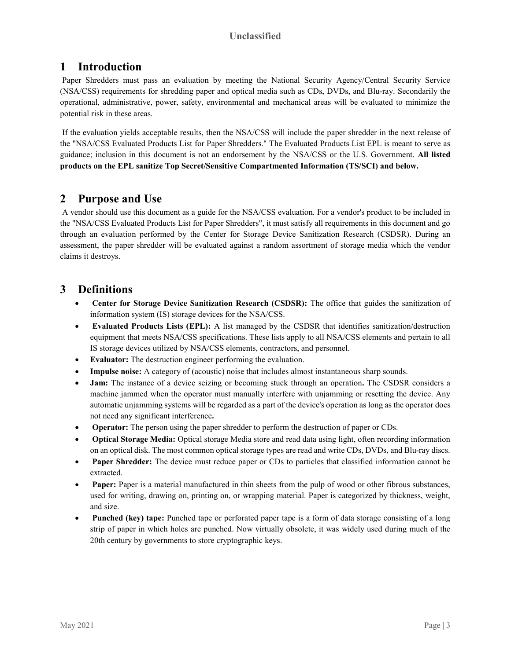## Unclassified

## 1 Introduction

 Paper Shredders must pass an evaluation by meeting the National Security Agency/Central Security Service (NSA/CSS) requirements for shredding paper and optical media such as CDs, DVDs, and Blu-ray. Secondarily the operational, administrative, power, safety, environmental and mechanical areas will be evaluated to minimize the potential risk in these areas.

 If the evaluation yields acceptable results, then the NSA/CSS will include the paper shredder in the next release of the "NSA/CSS Evaluated Products List for Paper Shredders." The Evaluated Products List EPL is meant to serve as guidance; inclusion in this document is not an endorsement by the NSA/CSS or the U.S. Government. All listed products on the EPL sanitize Top Secret/Sensitive Compartmented Information (TS/SCI) and below.

## 2 Purpose and Use

 A vendor should use this document as a guide for the NSA/CSS evaluation. For a vendor's product to be included in the "NSA/CSS Evaluated Products List for Paper Shredders", it must satisfy all requirements in this document and go through an evaluation performed by the Center for Storage Device Sanitization Research (CSDSR). During an assessment, the paper shredder will be evaluated against a random assortment of storage media which the vendor claims it destroys.

## 3 Definitions

- Center for Storage Device Sanitization Research (CSDSR): The office that guides the sanitization of information system (IS) storage devices for the NSA/CSS.
- Evaluated Products Lists (EPL): A list managed by the CSDSR that identifies sanitization/destruction equipment that meets NSA/CSS specifications. These lists apply to all NSA/CSS elements and pertain to all IS storage devices utilized by NSA/CSS elements, contractors, and personnel.
- Evaluator: The destruction engineer performing the evaluation.
- Impulse noise: A category of (acoustic) noise that includes almost instantaneous sharp sounds.
- Jam: The instance of a device seizing or becoming stuck through an operation. The CSDSR considers a machine jammed when the operator must manually interfere with unjamming or resetting the device. Any automatic unjamming systems will be regarded as a part of the device's operation as long as the operator does not need any significant interference.
- Operator: The person using the paper shredder to perform the destruction of paper or CDs.
- Optical Storage Media: Optical storage Media store and read data using light, often recording information on an optical disk. The most common optical storage types are read and write CDs, DVDs, and Blu-ray discs.
- Paper Shredder: The device must reduce paper or CDs to particles that classified information cannot be extracted.
- Paper: Paper is a material manufactured in thin sheets from the pulp of wood or other fibrous substances, used for writing, drawing on, printing on, or wrapping material. Paper is categorized by thickness, weight, and size.
- Punched (key) tape: Punched tape or perforated paper tape is a form of data storage consisting of a long strip of paper in which holes are punched. Now virtually obsolete, it was widely used during much of the 20th century by governments to store cryptographic keys.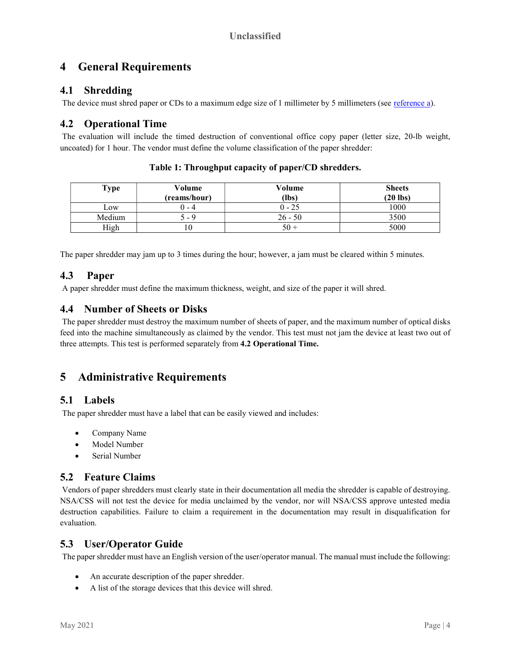# 4 General Requirements

## 4.1 Shredding

The device must shred paper or CDs to a maximum edge size of 1 millimeter by 5 millimeters (see reference a).

## 4.2 Operational Time

 The evaluation will include the timed destruction of conventional office copy paper (letter size, 20-lb weight, uncoated) for 1 hour. The vendor must define the volume classification of the paper shredder:

| Type   | Volume<br>(reams/hour) | Volume<br>(lbs) | <b>Sheets</b><br>$(20$ lbs) |
|--------|------------------------|-----------------|-----------------------------|
| Low    | () - 4                 | $0 - 25$        | 1000                        |
| Medium | $-9$                   | $26 - 50$       | 3500                        |
| High   | 10                     | $50 +$          | 5000                        |

Table 1: Throughput capacity of paper/CD shredders.

The paper shredder may jam up to 3 times during the hour; however, a jam must be cleared within 5 minutes.

## 4.3 Paper

A paper shredder must define the maximum thickness, weight, and size of the paper it will shred.

## 4.4 Number of Sheets or Disks

 The paper shredder must destroy the maximum number of sheets of paper, and the maximum number of optical disks feed into the machine simultaneously as claimed by the vendor. This test must not jam the device at least two out of three attempts. This test is performed separately from 4.2 Operational Time.

# 5 Administrative Requirements

## 5.1 Labels

The paper shredder must have a label that can be easily viewed and includes:

- Company Name
- Model Number
- Serial Number

## 5.2 Feature Claims

 Vendors of paper shredders must clearly state in their documentation all media the shredder is capable of destroying. NSA/CSS will not test the device for media unclaimed by the vendor, nor will NSA/CSS approve untested media destruction capabilities. Failure to claim a requirement in the documentation may result in disqualification for evaluation.

## 5.3 User/Operator Guide

The paper shredder must have an English version of the user/operator manual. The manual must include the following:

- An accurate description of the paper shredder.
- A list of the storage devices that this device will shred.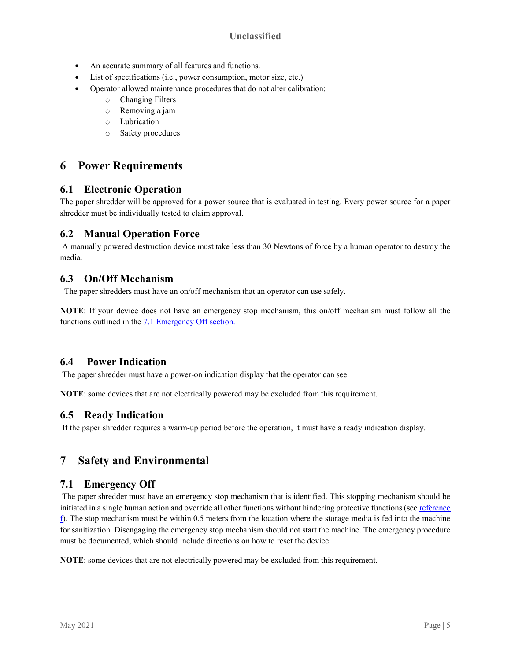### Unclassified

- An accurate summary of all features and functions.
- List of specifications (i.e., power consumption, motor size, etc.)
- Operator allowed maintenance procedures that do not alter calibration:
	- o Changing Filters
	- o Removing a jam
	- o Lubrication
	- o Safety procedures

# 6 Power Requirements

#### 6.1 Electronic Operation

The paper shredder will be approved for a power source that is evaluated in testing. Every power source for a paper shredder must be individually tested to claim approval.

#### 6.2 Manual Operation Force

 A manually powered destruction device must take less than 30 Newtons of force by a human operator to destroy the media.

#### 6.3 On/Off Mechanism

The paper shredders must have an on/off mechanism that an operator can use safely.

NOTE: If your device does not have an emergency stop mechanism, this on/off mechanism must follow all the functions outlined in the 7.1 Emergency Off section.

#### 6.4 Power Indication

The paper shredder must have a power-on indication display that the operator can see.

NOTE: some devices that are not electrically powered may be excluded from this requirement.

#### 6.5 Ready Indication

If the paper shredder requires a warm-up period before the operation, it must have a ready indication display.

## 7 Safety and Environmental

#### 7.1 Emergency Off

 The paper shredder must have an emergency stop mechanism that is identified. This stopping mechanism should be initiated in a single human action and override all other functions without hindering protective functions (see reference  $\hat{f}$ ). The stop mechanism must be within 0.5 meters from the location where the storage media is fed into the machine for sanitization. Disengaging the emergency stop mechanism should not start the machine. The emergency procedure must be documented, which should include directions on how to reset the device.

NOTE: some devices that are not electrically powered may be excluded from this requirement.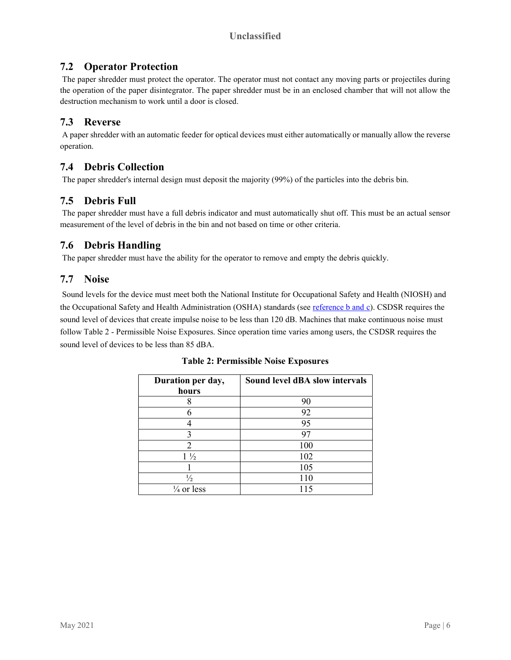## 7.2 Operator Protection

 The paper shredder must protect the operator. The operator must not contact any moving parts or projectiles during the operation of the paper disintegrator. The paper shredder must be in an enclosed chamber that will not allow the destruction mechanism to work until a door is closed.

## 7.3 Reverse

 A paper shredder with an automatic feeder for optical devices must either automatically or manually allow the reverse operation.

## 7.4 Debris Collection

The paper shredder's internal design must deposit the majority (99%) of the particles into the debris bin.

# 7.5 Debris Full

 The paper shredder must have a full debris indicator and must automatically shut off. This must be an actual sensor measurement of the level of debris in the bin and not based on time or other criteria.

## 7.6 Debris Handling

The paper shredder must have the ability for the operator to remove and empty the debris quickly.

## 7.7 Noise

 Sound levels for the device must meet both the National Institute for Occupational Safety and Health (NIOSH) and the Occupational Safety and Health Administration (OSHA) standards (see reference b and c). CSDSR requires the sound level of devices that create impulse noise to be less than 120 dB. Machines that make continuous noise must follow Table 2 - Permissible Noise Exposures. Since operation time varies among users, the CSDSR requires the sound level of devices to be less than 85 dBA.

| Duration per day,<br>hours | Sound level dBA slow intervals |
|----------------------------|--------------------------------|
|                            | 90                             |
|                            | 92                             |
|                            | 95                             |
| 3                          | 97                             |
| 2                          | 100                            |
| $1\frac{1}{2}$             | 102                            |
|                            | 105                            |
| $\frac{1}{2}$              | 110                            |
| $\frac{1}{4}$ or less      |                                |

Table 2: Permissible Noise Exposures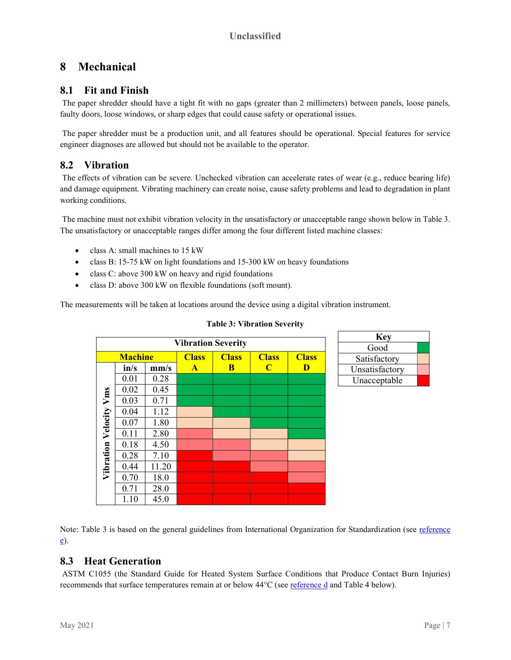# 8 Mechanical

## 8.1 Fit and Finish

 The paper shredder should have a tight fit with no gaps (greater than 2 millimeters) between panels, loose panels, faulty doors, loose windows, or sharp edges that could cause safety or operational issues.

 The paper shredder must be a production unit, and all features should be operational. Special features for service engineer diagnoses are allowed but should not be available to the operator.

## 8.2 Vibration

 The effects of vibration can be severe. Unchecked vibration can accelerate rates of wear (e.g., reduce bearing life) and damage equipment. Vibrating machinery can create noise, cause safety problems and lead to degradation in plant working conditions.

 The machine must not exhibit vibration velocity in the unsatisfactory or unacceptable range shown below in Table 3. The unsatisfactory or unacceptable ranges differ among the four different listed machine classes:

- class A: small machines to 15 kW
- class B: 15-75 kW on light foundations and 15-300 kW on heavy foundations
- class C: above 300 kW on heavy and rigid foundations
- class D: above 300 kW on flexible foundations (soft mount).

The measurements will be taken at locations around the device using a digital vibration instrument.

|                    |                |       | <b>Vibration Severity</b> |              |                |              | <b>Key</b>     |
|--------------------|----------------|-------|---------------------------|--------------|----------------|--------------|----------------|
|                    |                |       |                           |              |                |              | Good           |
|                    | <b>Machine</b> |       | <b>Class</b>              | <b>Class</b> | <b>Class</b>   | <b>Class</b> | Satisfactory   |
|                    | in/s           | mm/s  | $\mathbf{A}$              | B            | $\overline{C}$ | D            | Unsatisfactory |
|                    | 0.01           | 0.28  |                           |              |                |              | Unacceptable   |
|                    | 0.02           | 0.45  |                           |              |                |              |                |
| Vms                | 0.03           | 0.71  |                           |              |                |              |                |
|                    | 0.04           | 1.12  |                           |              |                |              |                |
| Vibration Velocity | 0.07           | 1.80  |                           |              |                |              |                |
|                    | 0.11           | 2.80  |                           |              |                |              |                |
|                    | 0.18           | 4.50  |                           |              |                |              |                |
|                    | 0.28           | 7.10  |                           |              |                |              |                |
|                    | 0.44           | 11.20 |                           |              |                |              |                |
|                    | 0.70           | 18.0  |                           |              |                |              |                |
|                    | 0.71           | 28.0  |                           |              |                |              |                |
|                    | 1.10           | 45.0  |                           |              |                |              |                |

#### Table 3: Vibration Severity

Note: Table 3 is based on the general guidelines from International Organization for Standardization (see reference e).

## 8.3 Heat Generation

 ASTM C1055 (the Standard Guide for Heated System Surface Conditions that Produce Contact Burn Injuries) recommends that surface temperatures remain at or below  $44^{\circ}$ C (see reference d and Table 4 below).